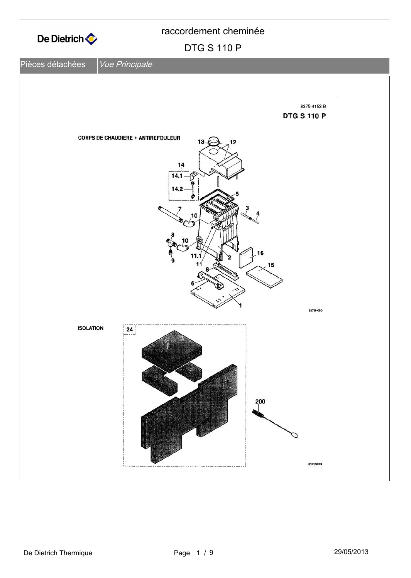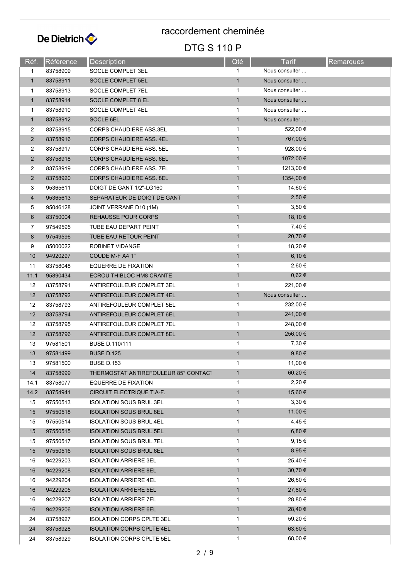

| Réf.           | Référence | Description                          | Qté          | <b>Tarif</b>   | Remarques |
|----------------|-----------|--------------------------------------|--------------|----------------|-----------|
| 1              | 83758909  | SOCLE COMPLET 3EL                    | $\mathbf 1$  | Nous consulter |           |
| $\mathbf{1}$   | 83758911  | SOCLE COMPLET 5EL                    | 1            | Nous consulter |           |
| 1              | 83758913  | SOCLE COMPLET 7EL                    | 1            | Nous consulter |           |
| $\mathbf{1}$   | 83758914  | SOCLE COMPLET 8 EL                   | $\mathbf{1}$ | Nous consulter |           |
| 1              | 83758910  | SOCLE COMPLET 4EL                    | 1            | Nous consulter |           |
| $\mathbf{1}$   | 83758912  | SOCLE 6EL                            | $\mathbf{1}$ | Nous consulter |           |
| 2              | 83758915  | CORPS CHAUDIERE ASS.3EL              | 1            | 522,00 €       |           |
| $\overline{2}$ | 83758916  | <b>CORPS CHAUDIERE ASS. 4EL</b>      | $\mathbf{1}$ | 767,00 €       |           |
| $\overline{2}$ | 83758917  | <b>CORPS CHAUDIERE ASS. 5EL</b>      | 1            | 928,00 €       |           |
| $\overline{2}$ | 83758918  | <b>CORPS CHAUDIERE ASS. 6EL</b>      | $\mathbf{1}$ | 1072,00 €      |           |
| 2              | 83758919  | <b>CORPS CHAUDIERE ASS. 7EL</b>      | 1            | 1213,00 €      |           |
| $\overline{2}$ | 83758920  | <b>CORPS CHAUDIERE ASS. 8EL</b>      | $\mathbf{1}$ | 1354,00 €      |           |
| 3              | 95365611  | DOIGT DE GANT 1/2"-LG160             | $\mathbf{1}$ | 14,60 €        |           |
| $\overline{4}$ | 95365613  | SEPARATEUR DE DOIGT DE GANT          | $\mathbf{1}$ | 2,50 €         |           |
| 5              | 95046128  | JOINT VERRANE D10 (1M)               | 1            | 3,50€          |           |
| 6              | 83750004  | <b>REHAUSSE POUR CORPS</b>           | $\mathbf{1}$ | 18,10 €        |           |
| 7              | 97549595  | TUBE EAU DEPART PEINT                | $\mathbf{1}$ | 7,40 €         |           |
| 8              | 97549596  | TUBE EAU RETOUR PEINT                | $\mathbf{1}$ | 20,70 €        |           |
| 9              | 85000022  | ROBINET VIDANGE                      | 1            | 18,20 €        |           |
| 10             | 94920297  | COUDE M-F A4 1"                      | $\mathbf{1}$ | 6,10 €         |           |
| 11             | 83758048  | <b>EQUERRE DE FIXATION</b>           | 1            | 2,60 €         |           |
| 11.1           | 95890434  | ECROU THIBLOC HM8 CRANTE             | $\mathbf{1}$ | $0,62 \in$     |           |
| 12             | 83758791  | ANTIREFOULEUR COMPLET 3EL            | 1            | 221,00 €       |           |
| 12             | 83758792  | ANTIREFOULEUR COMPLET 4EL            | $\mathbf{1}$ | Nous consulter |           |
| 12             | 83758793  | ANTIREFOULEUR COMPLET 5EL            | 1            | 232,00 €       |           |
| 12             | 83758794  | ANTIREFOULEUR COMPLET 6EL            | $\mathbf{1}$ | 241,00 €       |           |
| 12             | 83758795  | ANTIREFOULEUR COMPLET 7EL            | 1            | 248,00 €       |           |
| 12             | 83758796  | ANTIREFOULEUR COMPLET 8EL            | $\mathbf{1}$ | 256,00 €       |           |
| 13             | 97581501  | <b>BUSE D.110/111</b>                | 1            | 7,30 €         |           |
| 13             | 97581499  | <b>BUSE D.125</b>                    | $\mathbf{1}$ | $9,80 \in$     |           |
| 13             | 97581500  | <b>BUSE D.153</b>                    | 1            | 11,00 €        |           |
| 14             | 83758999  | THERMOSTAT ANTIREFOULEUR 85° CONTACT | $\mathbf{1}$ | 60,20€         |           |
| 14.1           | 83758077  | <b>EQUERRE DE FIXATION</b>           | 1            | 2,20 €         |           |
| 14.2           | 83754941  | CIRCUIT ELECTRIQUE T.A-F.            | $\mathbf{1}$ | 15,60 €        |           |
| 15             | 97550513  | <b>ISOLATION SOUS BRUL.3EL</b>       | 1            | $3,30 \in$     |           |
| 15             | 97550518  | <b>ISOLATION SOUS BRUL.8EL</b>       | $\mathbf{1}$ | 11,00 €        |           |
| 15             | 97550514  | <b>ISOLATION SOUS BRUL.4EL</b>       | 1            | 4,45€          |           |
| 15             | 97550515  | <b>ISOLATION SOUS BRUL.5EL</b>       | $\mathbf{1}$ | $6,80 \in$     |           |
| 15             | 97550517  | <b>ISOLATION SOUS BRUL.7EL</b>       | 1            | 9,15€          |           |
| 15             | 97550516  | <b>ISOLATION SOUS BRUL.6EL</b>       | $\mathbf{1}$ | $8,95 \in$     |           |
| 16             | 94229203  | <b>ISOLATION ARRIERE 3EL</b>         | 1            | 25,40 €        |           |
| 16             | 94229208  | <b>ISOLATION ARRIERE 8EL</b>         | $\mathbf{1}$ | 30,70 €        |           |
| 16             | 94229204  | <b>ISOLATION ARRIERE 4EL</b>         | 1            | 26,60 €        |           |
| 16             | 94229205  | <b>ISOLATION ARRIERE 5EL</b>         | $\mathbf{1}$ | 27,80 €        |           |
| 16             | 94229207  | <b>ISOLATION ARRIERE 7EL</b>         | 1            | 28,80 €        |           |
| 16             | 94229206  | <b>ISOLATION ARRIERE 6EL</b>         | $\mathbf{1}$ | 28,40 €        |           |
| 24             | 83758927  | <b>ISOLATION CORPS CPLTE 3EL</b>     | 1            | 59,20 €        |           |
| 24             | 83758928  | <b>ISOLATION CORPS CPLTE 4EL</b>     | $\mathbf{1}$ | 63,60 €        |           |
| 24             | 83758929  | <b>ISOLATION CORPS CPLTE 5EL</b>     | $\mathbf{1}$ | 68,00 €        |           |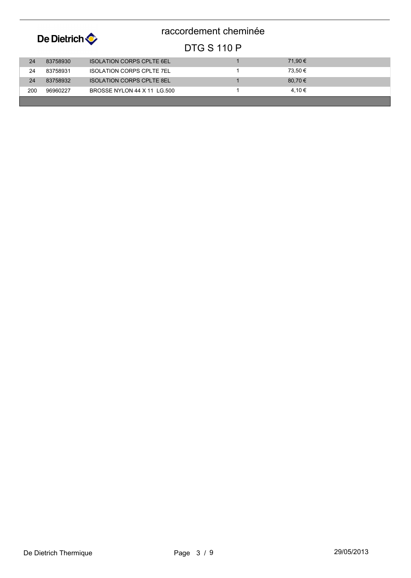| De Dietrich |          |                                  | raccordement cheminée |         |
|-------------|----------|----------------------------------|-----------------------|---------|
|             |          |                                  | <b>DTG S 110 P</b>    |         |
| 24          | 83758930 | <b>ISOLATION CORPS CPLTE 6EL</b> |                       | 71.90 € |
| 24          | 83758931 | <b>ISOLATION CORPS CPLTE 7EL</b> |                       | 73.50 € |
| 24          | 83758932 | <b>ISOLATION CORPS CPLTE 8EL</b> |                       | 80,70 € |
| 200         | 96960227 | BROSSE NYLON 44 X 11 LG 500      |                       | 4.10 €  |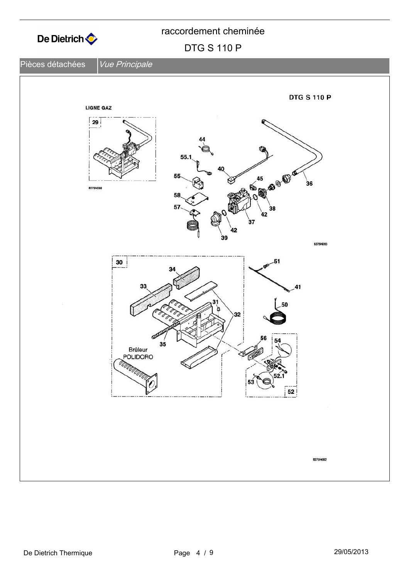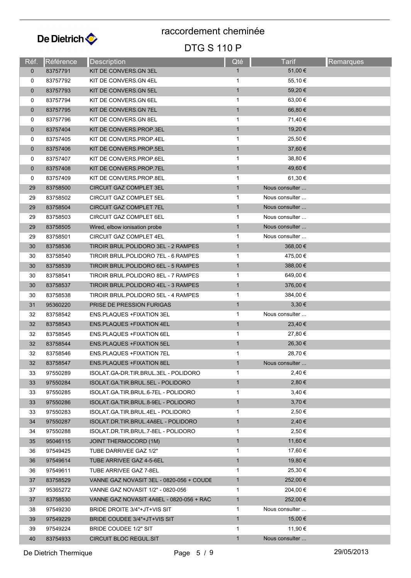

| Réf.        | Référence | Description                              | Qté                          | <b>Tarif</b>   | Remarques |
|-------------|-----------|------------------------------------------|------------------------------|----------------|-----------|
| $\mathbf 0$ | 83757791  | KIT DE CONVERS.GN 3EL                    | $\mathbf{1}$                 | 51,00 €        |           |
| 0           | 83757792  | KIT DE CONVERS.GN 4EL                    | 1                            | 55,10 €        |           |
| $\mathbf 0$ | 83757793  | KIT DE CONVERS.GN 5EL                    | $\mathbf{1}$                 | 59,20€         |           |
| 0           | 83757794  | KIT DE CONVERS.GN 6EL                    | 1                            | 63,00 €        |           |
| $\mathbf 0$ | 83757795  | KIT DE CONVERS.GN 7EL                    | $\mathbf{1}$                 | 66,80 €        |           |
| 0           | 83757796  | KIT DE CONVERS.GN 8EL                    | 1                            | 71,40 €        |           |
| $\mathbf 0$ | 83757404  | KIT DE CONVERS.PROP.3EL                  | $\mathbf{1}$                 | 19,20 €        |           |
| 0           | 83757405  | KIT DE CONVERS.PROP.4EL                  | $\mathbf{1}$                 | 25,50 €        |           |
| $\mathbf 0$ | 83757406  | KIT DE CONVERS.PROP.5EL                  | $\mathbf{1}$                 | 37,60 €        |           |
| 0           | 83757407  | KIT DE CONVERS PROP 6EL                  | 1                            | 38,80 €        |           |
| $\mathbf 0$ | 83757408  | KIT DE CONVERS PROP 7EL                  | $\mathbf{1}$                 | 49,60 €        |           |
| 0           | 83757409  | KIT DE CONVERS PROP 8EL                  | $\mathbf{1}$                 | 61,30 €        |           |
| 29          | 83758500  | <b>CIRCUIT GAZ COMPLET 3EL</b>           | $\mathbf{1}$                 | Nous consulter |           |
| 29          | 83758502  | CIRCUIT GAZ COMPLET 5EL                  | 1                            | Nous consulter |           |
| 29          | 83758504  | CIRCUIT GAZ COMPLET 7EL                  | $\mathbf{1}$                 | Nous consulter |           |
| 29          | 83758503  | CIRCUIT GAZ COMPLET 6EL                  | 1                            | Nous consulter |           |
| 29          | 83758505  | Wired, elbow ionisation probe            | $\mathbf{1}$                 | Nous consulter |           |
| 29          | 83758501  | CIRCUIT GAZ COMPLET 4EL                  | 1                            | Nous consulter |           |
| 30          | 83758536  | TIROIR BRUL.POLIDORO 3EL - 2 RAMPES      | $\mathbf{1}$                 | 368,00 €       |           |
| 30          | 83758540  | TIROIR BRUL POLIDORO 7EL - 6 RAMPES      | 1                            | 475,00 €       |           |
| 30          | 83758539  | TIROIR BRUL.POLIDORO 6EL - 5 RAMPES      | $\mathbf{1}$                 | 388,00 €       |           |
| 30          | 83758541  | TIROIR BRUL.POLIDORO 8EL - 7 RAMPES      | 1                            | 649,00 €       |           |
| 30          | 83758537  | TIROIR BRUL.POLIDORO 4EL - 3 RAMPES      | $\mathbf{1}$                 | 376,00 €       |           |
| 30          | 83758538  | TIROIR BRUL.POLIDORO 5EL - 4 RAMPES      | 1                            | 384,00 €       |           |
| 31          | 95360220  | PRISE DE PRESSION FURIGAS                | $\mathbf{1}$                 | 3,30€          |           |
| 32          | 83758542  | ENS.PLAQUES +FIXATION 3EL                | 1                            | Nous consulter |           |
| 32          | 83758543  | ENS.PLAQUES +FIXATION 4EL                | $\mathbf{1}$                 | $23,40 \in$    |           |
| 32          | 83758545  | <b>ENS.PLAQUES +FIXATION 6EL</b>         | $\mathbf 1$                  | 27,80 €        |           |
| 32          | 83758544  | <b>ENS.PLAQUES +FIXATION 5EL</b>         | $\mathbf{1}$                 | 26,30 €        |           |
| 32          | 83758546  | <b>ENS.PLAQUES +FIXATION 7EL</b>         | 1                            | 28,70 €        |           |
| 32          | 83758547  | <b>ENS.PLAQUES +FIXATION 8EL</b>         | 1                            | Nous consulter |           |
| 33          | 97550289  | ISOLAT.GA-DR.TIR.BRUL.3EL - POLIDORO     | 1                            | 2,40 €         |           |
| 33          | 97550284  | ISOLAT GA TIR BRUL 5EL - POLIDORO        | $\mathbf{1}$                 | 2,80€          |           |
| 33          | 97550285  | ISOLAT.GA.TIR.BRUL.6-7EL - POLIDORO      | $\mathbf{1}$                 | $3,40 \in$     |           |
| 33          | 97550286  | ISOLAT.GA.TIR.BRUL.8-9EL - POLIDORO      | $\mathbf{1}$                 | $3,70 \in$     |           |
| 33          | 97550283  | ISOLAT GA TIR BRUL 4EL - POLIDORO        | 1                            | 2,50 €         |           |
| 34          | 97550287  | ISOLAT.DR.TIR.BRUL.4A6EL - POLIDORO      | $\mathbf{1}$                 | 2,40€          |           |
| 34          | 97550288  | ISOLAT.DR.TIR.BRUL.7-8EL - POLIDORO      | $\mathbf{1}$                 | 2,50 €         |           |
| 35          | 95046115  | <b>JOINT THERMOCORD (1M)</b>             | $\mathbf{1}$                 | 11,60 €        |           |
| 36          | 97549425  | TUBE DARRIVEE GAZ 1/2"                   | 1                            | 17,60 €        |           |
| 36          | 97549614  | TUBE ARRIVEE GAZ 4-5-6EL                 | $\mathbf{1}$                 | 19,80 €        |           |
| 36          | 97549611  | TUBE ARRIVEE GAZ 7-8EL                   | 1                            | 25,30 €        |           |
| 37          | 83758529  | VANNE GAZ NOVASIT 3EL - 0820-056 + COUDE | $\mathbf{1}$                 | 252,00 €       |           |
| 37          | 95365272  | VANNE GAZ NOVASIT 1/2" - 0820-056        | 1                            | 204,00 €       |           |
| 37          | 83758530  | VANNE GAZ NOVASIT 4A6EL - 0820-056 + RAC | $\mathbf{1}$                 | 252,00 €       |           |
|             |           |                                          |                              | Nous consulter |           |
| 38          | 97549230  | BRIDE DROITE 3/4"+JT+VIS SIT             | $\mathbf{1}$<br>$\mathbf{1}$ | 15,00 €        |           |
| 39          | 97549229  | BRIDE COUDEE 3/4"+JT+VIS SIT             |                              | 11,90 €        |           |
| 39          | 97549224  | BRIDE COUDEE 1/2" SIT                    | $\mathbf 1$                  |                |           |
| 40          | 83754933  | <b>CIRCUIT BLOC REGUL.SIT</b>            | $\mathbf{1}$                 | Nous consulter |           |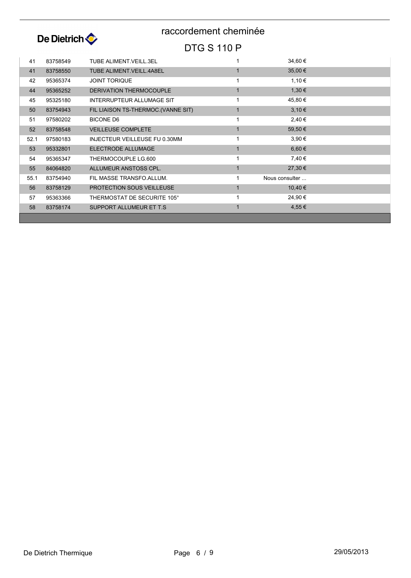

| 41   | 83758549 | <b>TUBE ALIMENT VEILL.3EL</b>       | 34,60 €        |  |
|------|----------|-------------------------------------|----------------|--|
| 41   | 83758550 | <b>TUBE ALIMENT.VEILL.4A8EL</b>     | 35,00 €        |  |
| 42   | 95365374 | <b>JOINT TORIQUE</b>                | 1,10 €         |  |
| 44   | 95365252 | <b>DERIVATION THERMOCOUPLE</b>      | 1,30 €         |  |
| 45   | 95325180 | <b>INTERRUPTEUR ALLUMAGE SIT</b>    | 45,80 €        |  |
| 50   | 83754943 | FIL LIAISON TS-THERMOC. (VANNE SIT) | $3,10 \in$     |  |
| 51   | 97580202 | <b>BICONE D6</b>                    | 2,40 €         |  |
| 52   | 83758548 | <b>VEILLEUSE COMPLETE</b>           | 59,50€         |  |
| 52.1 | 97580183 | INJECTEUR VEILLEUSE FU 0.30MM       | 3,90 €         |  |
| 53   | 95332801 | <b>ELECTRODE ALLUMAGE</b>           | 6,60€          |  |
| 54   | 95365347 | THERMOCOUPLE LG.600                 | 7,40 €         |  |
| 55   | 84064820 | ALLUMEUR ANSTOSS CPL.               | 27,30 €        |  |
| 55.1 | 83754940 | FIL MASSE TRANSFO. ALLUM.           | Nous consulter |  |
| 56   | 83758129 | <b>PROTECTION SOUS VEILLEUSE</b>    | 10,40 €        |  |
| 57   | 95363366 | THERMOSTAT DE SECURITE 105°         | 24,90 €        |  |
| 58   | 83758174 | SUPPORT ALLUMEUR ET T.S.            | 4,55 €         |  |
|      |          |                                     |                |  |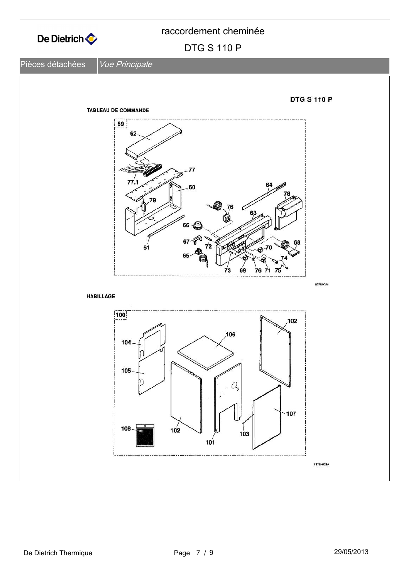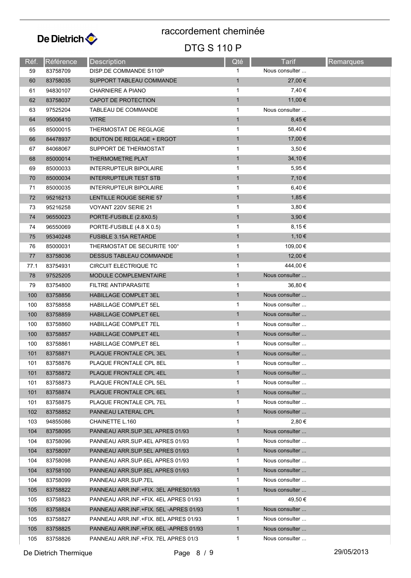

| Réf. | Référence | Description                             | Qté          | <b>Tarif</b>   | <b>Remarques</b> |
|------|-----------|-----------------------------------------|--------------|----------------|------------------|
| 59   | 83758709  | DISP.DE COMMANDE S110P                  | 1            | Nous consulter |                  |
| 60   | 83758035  | SUPPORT TABLEAU COMMANDE                | $\mathbf{1}$ | 27,00 €        |                  |
| 61   | 94830107  | <b>CHARNIERE A PIANO</b>                | $\mathbf{1}$ | 7,40 €         |                  |
| 62   | 83758037  | CAPOT DE PROTECTION                     | $\mathbf{1}$ | 11,00 €        |                  |
| 63   | 97525204  | TABLEAU DE COMMANDE                     | $\mathbf{1}$ | Nous consulter |                  |
| 64   | 95006410  | <b>VITRE</b>                            | $\mathbf{1}$ | 8,45 €         |                  |
| 65   | 85000015  | THERMOSTAT DE REGLAGE                   | $\mathbf{1}$ | 58,40€         |                  |
| 66   | 84478937  | <b>BOUTON DE REGLAGE + ERGOT</b>        | $\mathbf{1}$ | 17,00 €        |                  |
| 67   | 84068067  | SUPPORT DE THERMOSTAT                   | $\mathbf{1}$ | 3,50 €         |                  |
| 68   | 85000014  | THERMOMETRE PLAT                        | $\mathbf{1}$ | 34,10 €        |                  |
| 69   | 85000033  | <b>INTERRUPTEUR BIPOLAIRE</b>           | $\mathbf{1}$ | 5,95€          |                  |
| 70   | 85000034  | <b>INTERRUPTEUR TEST STB</b>            | $\mathbf{1}$ | 7,10 €         |                  |
| 71   | 85000035  | <b>INTERRUPTEUR BIPOLAIRE</b>           | $\mathbf{1}$ | 6,40 €         |                  |
| 72   | 95216213  | LENTILLE ROUGE SERIE 57                 | $\mathbf{1}$ | 1,85 €         |                  |
| 73   | 95216258  | VOYANT 220V SERIE 21                    | $\mathbf{1}$ | 3,80€          |                  |
| 74   | 96550023  | PORTE-FUSIBLE (2.8X0.5)                 | $\mathbf{1}$ | 3,90 €         |                  |
| 74   | 96550069  | PORTE-FUSIBLE (4.8 X 0.5)               | $\mathbf 1$  | 8,15 €         |                  |
| 75   | 95340248  | <b>FUSIBLE 3.15A RETARDE</b>            | $\mathbf{1}$ | 1,10 €         |                  |
| 76   | 85000031  | THERMOSTAT DE SECURITE 100°             | $\mathbf{1}$ | 109,00 €       |                  |
| 77   | 83758036  | <b>DESSUS TABLEAU COMMANDE</b>          | $\mathbf{1}$ | 12,00 €        |                  |
| 77.1 | 83754931  | CIRCUIT ELECTRIQUE TC                   | $\mathbf{1}$ | 444,00 €       |                  |
| 78   | 97525205  | MODULE COMPLEMENTAIRE                   | $\mathbf{1}$ | Nous consulter |                  |
| 79   | 83754800  | FILTRE ANTIPARASITE                     | $\mathbf{1}$ | 36,80 €        |                  |
| 100  | 83758856  | <b>HABILLAGE COMPLET 3EL</b>            | $\mathbf{1}$ | Nous consulter |                  |
| 100  | 83758858  | HABILLAGE COMPLET 5EL                   | $\mathbf{1}$ | Nous consulter |                  |
| 100  | 83758859  | <b>HABILLAGE COMPLET 6EL</b>            | $\mathbf{1}$ | Nous consulter |                  |
| 100  | 83758860  | HABILLAGE COMPLET 7EL                   | $\mathbf{1}$ | Nous consulter |                  |
| 100  | 83758857  | <b>HABILLAGE COMPLET 4EL</b>            | $\mathbf{1}$ | Nous consulter |                  |
| 100  | 83758861  | HABILLAGE COMPLET 8EL                   | $\mathbf{1}$ | Nous consulter |                  |
| 101  | 83758871  | PLAQUE FRONTALE CPL 3EL                 | $\mathbf{1}$ | Nous consulter |                  |
| 101  | 83758876  | PLAQUE FRONTALE CPL 8EL                 | 1            | Nous consulter |                  |
| 101  | 83758872  | PLAQUE FRONTALE CPL 4EL                 | $\mathbf{1}$ | Nous consulter |                  |
| 101  | 83758873  | PLAQUE FRONTALE CPL 5EL                 | 1            | Nous consulter |                  |
| 101  | 83758874  | PLAQUE FRONTALE CPL 6EL                 | $\mathbf{1}$ | Nous consulter |                  |
| 101  | 83758875  | PLAQUE FRONTALE CPL 7EL                 | $\mathbf{1}$ | Nous consulter |                  |
| 102  | 83758852  | PANNEAU LATERAL CPL                     | $\mathbf{1}$ | Nous consulter |                  |
| 103  | 94855086  | CHAINETTE L.160                         | $\mathbf{1}$ | 2,80 €         |                  |
| 104  | 83758095  | PANNEAU ARR.SUP.3EL APRES 01/93         | $\mathbf{1}$ | Nous consulter |                  |
| 104  | 83758096  | PANNEAU ARR.SUP.4EL APRES 01/93         | 1            | Nous consulter |                  |
| 104  | 83758097  | PANNEAU ARR.SUP.5EL APRES 01/93         | $\mathbf{1}$ | Nous consulter |                  |
| 104  | 83758098  | PANNEAU ARR.SUP.6EL APRES 01/93         | $\mathbf 1$  | Nous consulter |                  |
| 104  | 83758100  | PANNEAU ARR.SUP.8EL APRES 01/93         | $\mathbf{1}$ | Nous consulter |                  |
| 104  | 83758099  | PANNEAU ARR SUP 7EL                     | $\mathbf{1}$ | Nous consulter |                  |
| 105  | 83758822  | PANNEAU ARR.INF.+FIX. 3EL APRES01/93    | $\mathbf{1}$ | Nous consulter |                  |
| 105  | 83758823  | PANNEAU ARR INF. + FIX. 4EL APRES 01/93 | $\mathbf 1$  | 49,50 €        |                  |
| 105  | 83758824  | PANNEAU ARR.INF.+FIX. 5EL-APRES 01/93   | $\mathbf{1}$ | Nous consulter |                  |
| 105  | 83758827  | PANNEAU ARR INF. + FIX. 8EL APRES 01/93 | 1            | Nous consulter |                  |
| 105  | 83758825  | PANNEAU ARR.INF.+FIX. 6EL-APRES 01/93   | $\mathbf{1}$ | Nous consulter |                  |
| 105  | 83758826  | PANNEAU ARR.INF.+FIX. 7EL APRES 01/3    | $\mathbf 1$  | Nous consulter |                  |